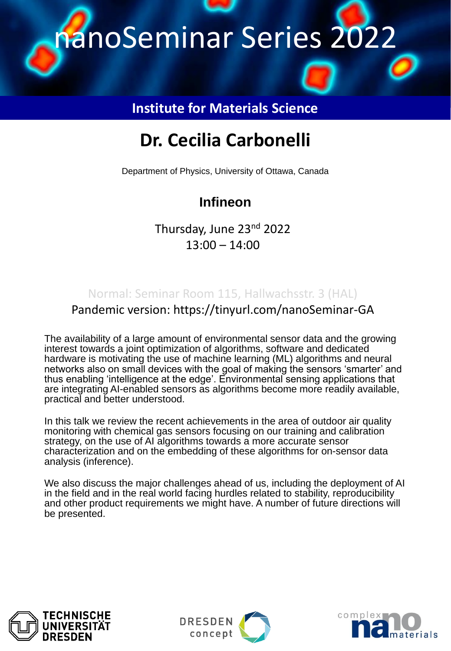

#### **Institute for Materials Science**

# **Dr. Cecilia Carbonelli**

Department of Physics, University of Ottawa, Canada

## **Infineon**

Thursday, June 23nd 2022 13:00 – 14:00

Normal: Seminar Room 115, Hallwachsstr. 3 (HAL) Pandemic version: https://tinyurl.com/nanoSeminar-GA

The availability of a large amount of environmental sensor data and the growing interest towards a joint optimization of algorithms, software and dedicated hardware is motivating the use of machine learning (ML) algorithms and neural networks also on small devices with the goal of making the sensors 'smarter' and thus enabling 'intelligence at the edge'. Environmental sensing applications that are integrating AI-enabled sensors as algorithms become more readily available, practical and better understood.

In this talk we review the recent achievements in the area of outdoor air quality monitoring with chemical gas sensors focusing on our training and calibration strategy, on the use of AI algorithms towards a more accurate sensor characterization and on the embedding of these algorithms for on-sensor data analysis (inference).

We also discuss the major challenges ahead of us, including the deployment of AI in the field and in the real world facing hurdles related to stability, reproducibility and other product requirements we might have. A number of future directions will be presented.